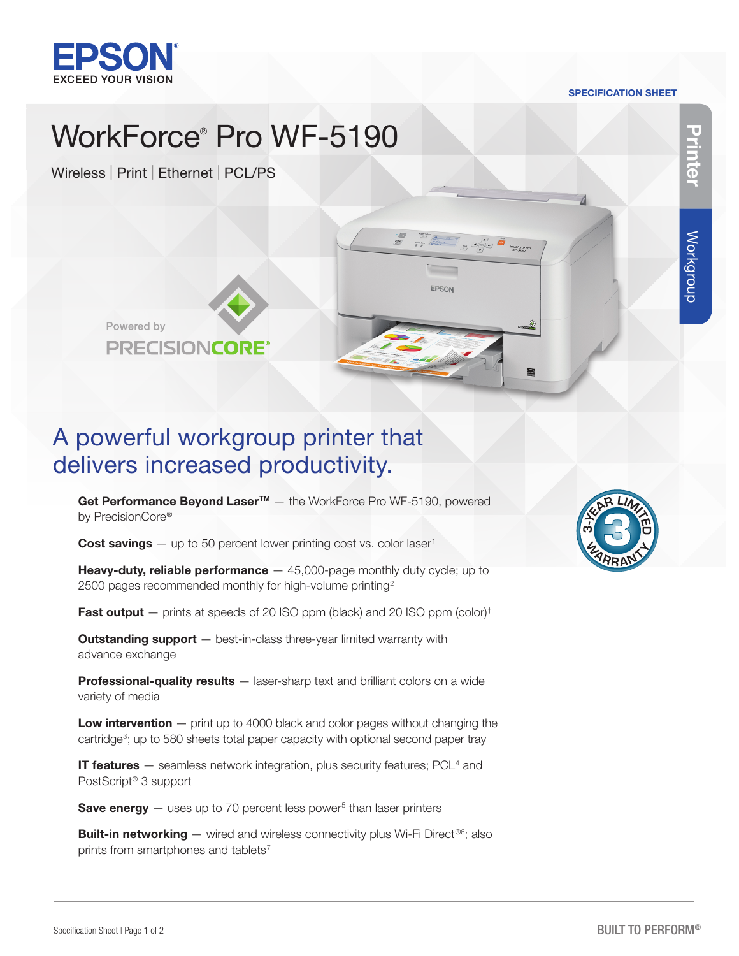

#### SPECIFICATION SHEET

 $\begin{picture}(180,10) \put(0,0){\line(1,0){10}} \put(10,0){\line(1,0){10}} \put(10,0){\line(1,0){10}} \put(10,0){\line(1,0){10}} \put(10,0){\line(1,0){10}} \put(10,0){\line(1,0){10}} \put(10,0){\line(1,0){10}} \put(10,0){\line(1,0){10}} \put(10,0){\line(1,0){10}} \put(10,0){\line(1,0){10}} \put(10,0){\line(1,0){10}} \put(10,0){\line($ 

EPSON

# WorkForce® Pro WF-5190

Wireless | Print | Ethernet | PCL/PS



## A powerful workgroup printer that delivers increased productivity.

Get Performance Beyond Laser<sup>™</sup> – the WorkForce Pro WF-5190, powered by PrecisionCore®

**Cost savings**  $-$  up to 50 percent lower printing cost vs. color laser<sup>1</sup>

**Heavy-duty, reliable performance**  $-$  45,000-page monthly duty cycle; up to 2500 pages recommended monthly for high-volume printing<sup>2</sup>

**Fast output**  $-$  prints at speeds of 20 ISO ppm (black) and 20 ISO ppm (color)<sup>†</sup>

**Outstanding support** – best-in-class three-year limited warranty with advance exchange

Professional-quality results – laser-sharp text and brilliant colors on a wide variety of media

Low intervention – print up to 4000 black and color pages without changing the cartridge<sup>3</sup>; up to 580 sheets total paper capacity with optional second paper tray

**IT features** - seamless network integration, plus security features; PCL<sup>4</sup> and PostScript® 3 support

**Save energy**  $-$  uses up to 70 percent less power<sup>5</sup> than laser printers

**Built-in networking**  $-$  wired and wireless connectivity plus Wi-Fi Direct<sup>®6</sup>; also prints from smartphones and tablets<sup>7</sup>



Printer

Workgroup